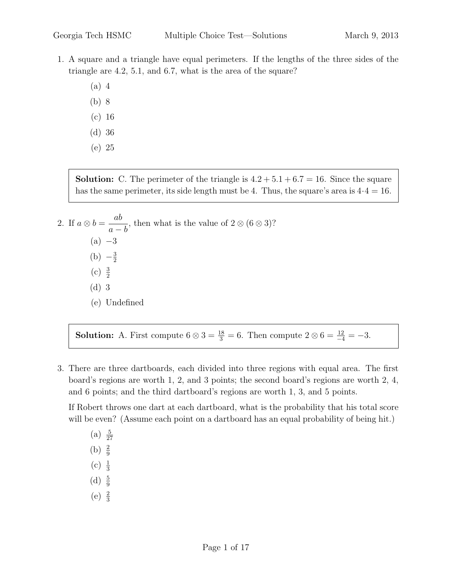- 1. A square and a triangle have equal perimeters. If the lengths of the three sides of the triangle are 4.2, 5.1, and 6.7, what is the area of the square?
	- (a) 4
	- (b) 8
	- (c) 16
	- (d) 36
	- (e) 25

**Solution:** C. The perimeter of the triangle is  $4.2 + 5.1 + 6.7 = 16$ . Since the square has the same perimeter, its side length must be 4. Thus, the square's area is  $4.4 = 16$ .

2. If  $a \otimes b = \frac{ab}{b}$  $a - b$ , then what is the value of  $2 \otimes (6 \otimes 3)$ ?  $(a) -3$  $(b) -\frac{3}{2}$ 2 (c)  $\frac{3}{2}$ (d) 3 (e) Undefined

**Solution:** A. First compute  $6 \otimes 3 = \frac{18}{3} = 6$ . Then compute  $2 \otimes 6 = \frac{12}{-4} = -3$ .

3. There are three dartboards, each divided into three regions with equal area. The first board's regions are worth 1, 2, and 3 points; the second board's regions are worth 2, 4, and 6 points; and the third dartboard's regions are worth 1, 3, and 5 points.

If Robert throws one dart at each dartboard, what is the probability that his total score will be even? (Assume each point on a dartboard has an equal probability of being hit.)

- $(a) \frac{5}{27}$ (b)  $\frac{2}{9}$ (c)  $\frac{1}{3}$
- 
- (d)  $\frac{5}{9}$
- (e)  $\frac{2}{3}$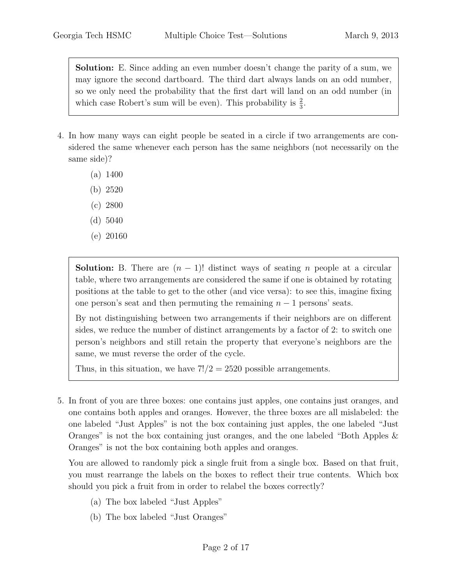Solution: E. Since adding an even number doesn't change the parity of a sum, we may ignore the second dartboard. The third dart always lands on an odd number, so we only need the probability that the first dart will land on an odd number (in which case Robert's sum will be even). This probability is  $\frac{2}{3}$ .

- 4. In how many ways can eight people be seated in a circle if two arrangements are considered the same whenever each person has the same neighbors (not necessarily on the same side)?
	- (a) 1400
	- (b) 2520
	- (c) 2800
	- (d) 5040
	- (e) 20160

**Solution:** B. There are  $(n - 1)!$  distinct ways of seating *n* people at a circular table, where two arrangements are considered the same if one is obtained by rotating positions at the table to get to the other (and vice versa): to see this, imagine fixing one person's seat and then permuting the remaining  $n - 1$  persons' seats.

By not distinguishing between two arrangements if their neighbors are on different sides, we reduce the number of distinct arrangements by a factor of 2: to switch one person's neighbors and still retain the property that everyone's neighbors are the same, we must reverse the order of the cycle.

Thus, in this situation, we have  $7!/2 = 2520$  possible arrangements.

5. In front of you are three boxes: one contains just apples, one contains just oranges, and one contains both apples and oranges. However, the three boxes are all mislabeled: the one labeled "Just Apples" is not the box containing just apples, the one labeled "Just Oranges" is not the box containing just oranges, and the one labeled "Both Apples & Oranges" is not the box containing both apples and oranges.

You are allowed to randomly pick a single fruit from a single box. Based on that fruit, you must rearrange the labels on the boxes to reflect their true contents. Which box should you pick a fruit from in order to relabel the boxes correctly?

- (a) The box labeled "Just Apples"
- (b) The box labeled "Just Oranges"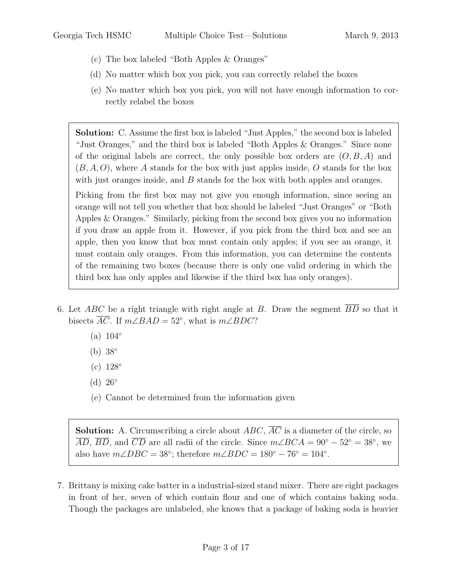- (c) The box labeled "Both Apples & Oranges"
- (d) No matter which box you pick, you can correctly relabel the boxes
- (e) No matter which box you pick, you will not have enough information to correctly relabel the boxes

Solution: C. Assume the first box is labeled "Just Apples," the second box is labeled "Just Oranges," and the third box is labeled "Both Apples & Oranges." Since none of the original labels are correct, the only possible box orders are  $(O, B, A)$  and  $(B, A, O)$ , where A stands for the box with just apples inside, O stands for the box with just oranges inside, and  $B$  stands for the box with both apples and oranges.

Picking from the first box may not give you enough information, since seeing an orange will not tell you whether that box should be labeled "Just Oranges" or "Both Apples & Oranges." Similarly, picking from the second box gives you no information if you draw an apple from it. However, if you pick from the third box and see an apple, then you know that box must contain only apples; if you see an orange, it must contain only oranges. From this information, you can determine the contents of the remaining two boxes (because there is only one valid ordering in which the third box has only apples and likewise if the third box has only oranges).

- 6. Let ABC be a right triangle with right angle at B. Draw the segment  $\overline{BD}$  so that it bisects  $\overline{AC}$ . If  $m\angle BAD = 52^\circ$ , what is  $m\angle BDC$ ?
	- $(a) 104°$
	- (b) 38◦
	- $(c)$  128°
	- $(d)$  26 $\degree$
	- (e) Cannot be determined from the information given

**Solution:** A. Circumscribing a circle about  $ABC$ ,  $\overline{AC}$  is a diameter of the circle, so  $\overline{AD}$ ,  $\overline{BD}$ , and  $\overline{CD}$  are all radii of the circle. Since  $m\angle BCA = 90^{\circ} - 52^{\circ} = 38^{\circ}$ , we also have  $m\angle DBC = 38^\circ$ ; therefore  $m\angle BDC = 180^\circ - 76^\circ = 104^\circ$ .

7. Brittany is mixing cake batter in a industrial-sized stand mixer. There are eight packages in front of her, seven of which contain flour and one of which contains baking soda. Though the packages are unlabeled, she knows that a package of baking soda is heavier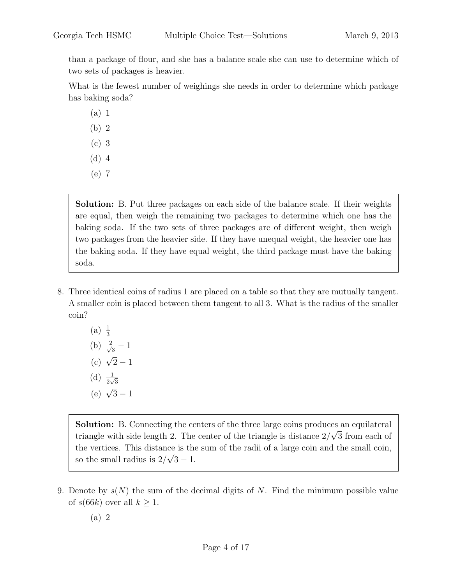than a package of flour, and she has a balance scale she can use to determine which of two sets of packages is heavier.

What is the fewest number of weighings she needs in order to determine which package has baking soda?

(a) 1

- (b) 2
- (c) 3
- (d) 4
- (e) 7

Solution: B. Put three packages on each side of the balance scale. If their weights are equal, then weigh the remaining two packages to determine which one has the baking soda. If the two sets of three packages are of different weight, then weigh two packages from the heavier side. If they have unequal weight, the heavier one has the baking soda. If they have equal weight, the third package must have the baking soda.

8. Three identical coins of radius 1 are placed on a table so that they are mutually tangent. A smaller coin is placed between them tangent to all 3. What is the radius of the smaller coin?

(a) 
$$
\frac{1}{3}
$$
  
\n(b)  $\frac{2}{\sqrt{3}} - 1$   
\n(c)  $\sqrt{2} - 1$   
\n(d)  $\frac{1}{2\sqrt{3}}$   
\n(e)  $\sqrt{3} - 1$ 

Solution: B. Connecting the centers of the three large coins produces an equilateral  $\overline{S}$ . triangle with side length 2. The center of the triangle is distance  $2/\sqrt{3}$  from each of the vertices. This distance is the sum of the radii of a large coin and the small coin, so the small radius is  $2/\sqrt{3}-1$ .

- 9. Denote by  $s(N)$  the sum of the decimal digits of N. Find the minimum possible value of  $s(66k)$  over all  $k \geq 1$ .
	- (a) 2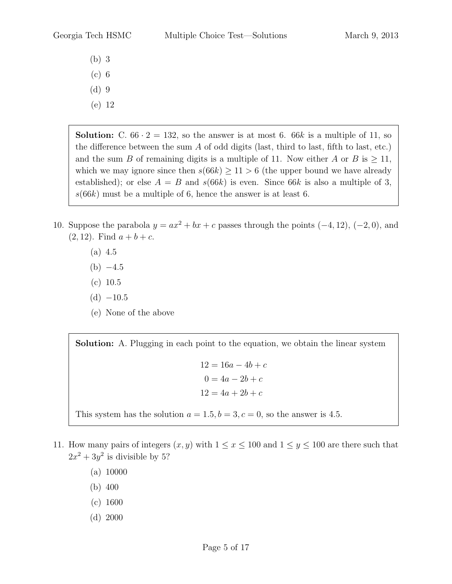- (b) 3
- (c) 6
- (d) 9
- (e) 12

**Solution:** C.  $66 \cdot 2 = 132$ , so the answer is at most 6.  $66k$  is a multiple of 11, so the difference between the sum A of odd digits (last, third to last, fifth to last, etc.) and the sum B of remaining digits is a multiple of 11. Now either A or B is  $\geq 11$ , which we may ignore since then  $s(66k) \ge 11 > 6$  (the upper bound we have already established); or else  $A = B$  and  $s(66k)$  is even. Since 66k is also a multiple of 3,  $s(66k)$  must be a multiple of 6, hence the answer is at least 6.

- 10. Suppose the parabola  $y = ax^2 + bx + c$  passes through the points  $(-4, 12)$ ,  $(-2, 0)$ , and  $(2, 12)$ . Find  $a + b + c$ .
	- (a) 4.5
	- $(b) -4.5$
	- (c) 10.5
	- $(d) -10.5$
	- (e) None of the above

Solution: A. Plugging in each point to the equation, we obtain the linear system

 $12 = 16a - 4b + c$  $0 = 4a - 2b + c$  $12 = 4a + 2b + c$ 

This system has the solution  $a = 1.5, b = 3, c = 0$ , so the answer is 4.5.

- 11. How many pairs of integers  $(x, y)$  with  $1 \le x \le 100$  and  $1 \le y \le 100$  are there such that  $2x^2 + 3y^2$  is divisible by 5?
	- (a) 10000
	- (b) 400
	- (c) 1600
	- (d) 2000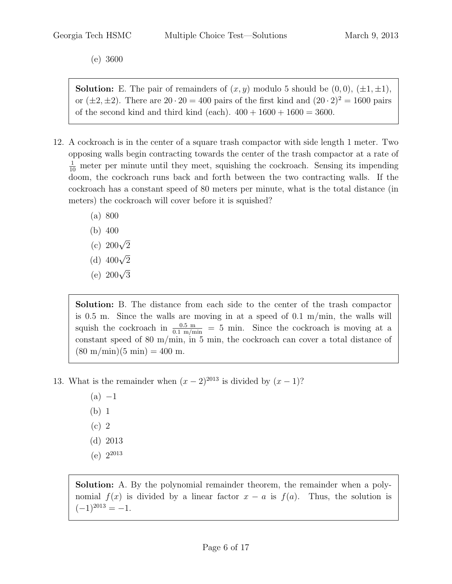(e) 3600

**Solution:** E. The pair of remainders of  $(x, y)$  modulo 5 should be  $(0, 0)$ ,  $(\pm 1, \pm 1)$ , or  $(\pm 2, \pm 2)$ . There are  $20 \cdot 20 = 400$  pairs of the first kind and  $(20 \cdot 2)^2 = 1600$  pairs of the second kind and third kind (each).  $400 + 1600 + 1600 = 3600$ .

- 12. A cockroach is in the center of a square trash compactor with side length 1 meter. Two opposing walls begin contracting towards the center of the trash compactor at a rate of  $\frac{1}{10}$  meter per minute until they meet, squishing the cockroach. Sensing its impending doom, the cockroach runs back and forth between the two contracting walls. If the cockroach has a constant speed of 80 meters per minute, what is the total distance (in meters) the cockroach will cover before it is squished?
	- (a) 800
	- (b) 400
	- (c)  $200\sqrt{2}$
	- (d)  $400\sqrt{2}$
	- (e)  $200\sqrt{3}$

Solution: B. The distance from each side to the center of the trash compactor is 0.5 m. Since the walls are moving in at a speed of 0.1 m/min, the walls will squish the cockroach in  $\frac{0.5 \text{ m}}{0.1 \text{ m/min}} = 5 \text{ min}$ . Since the cockroach is moving at a constant speed of 80 m/min, in 5 min, the cockroach can cover a total distance of  $(80 \text{ m/min})(5 \text{ min}) = 400 \text{ m}.$ 

13. What is the remainder when  $(x - 2)^{2013}$  is divided by  $(x - 1)$ ?

- $(a) -1$
- (b) 1
- (c) 2
- (d) 2013
- (e)  $2^{2013}$

Solution: A. By the polynomial remainder theorem, the remainder when a polynomial  $f(x)$  is divided by a linear factor  $x - a$  is  $f(a)$ . Thus, the solution is  $(-1)^{2013} = -1.$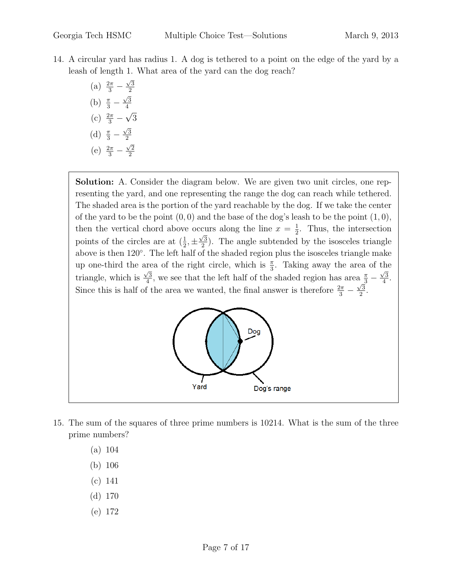- 14. A circular yard has radius 1. A dog is tethered to a point on the edge of the yard by a leash of length 1. What area of the yard can the dog reach?
	- (a)  $\frac{2\pi}{3}$   $\sqrt{3}$ 2 (b)  $\frac{\pi}{3}$  –  $\sqrt{3}$ 4 (c)  $\frac{2\pi}{3}$  – √ 3 (d)  $\frac{\pi}{3}$  –  $\sqrt{3}$ 2 (e)  $\frac{2\pi}{3}$  –  $\sqrt{2}$ 2

Solution: A. Consider the diagram below. We are given two unit circles, one representing the yard, and one representing the range the dog can reach while tethered. The shaded area is the portion of the yard reachable by the dog. If we take the center of the yard to be the point  $(0, 0)$  and the base of the dog's leash to be the point  $(1, 0)$ , then the vertical chord above occurs along the line  $x=\frac{1}{2}$ ccurs along the line  $x = \frac{1}{2}$ . Thus, the intersection points of the circles are at  $(\frac{1}{2}, \pm \frac{\sqrt{3}}{2})$  $\frac{\sqrt{3}}{2}$ ). The angle subtended by the isosceles triangle above is then 120◦ . The left half of the shaded region plus the isosceles triangle make up one-third the area of the right circle, which is  $\frac{\pi}{3}$ . Taking away the area of the triangle, which is  $\frac{\sqrt{3}}{4}$  $\frac{\sqrt{3}}{4}$ , we see that the left half of the shaded region has area  $\frac{\pi}{3} - \frac{\sqrt{3}}{4}$  $a\frac{\pi}{3} - \frac{\sqrt{3}}{4}.$ Since this is half of the area we wanted, the final answer is therefore  $\frac{2\pi}{3} - \frac{\sqrt{3}}{2}$  $\frac{73}{2}$ .



- 15. The sum of the squares of three prime numbers is 10214. What is the sum of the three prime numbers?
	- (a) 104
	- (b) 106
	- (c) 141
	- (d) 170
	- (e) 172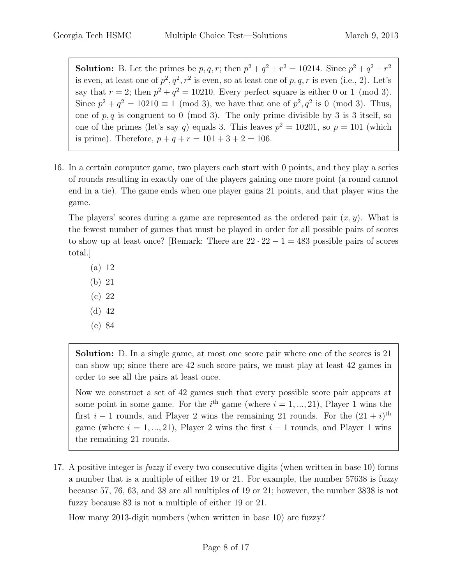**Solution:** B. Let the primes be  $p, q, r$ ; then  $p^2 + q^2 + r^2 = 10214$ . Since  $p^2 + q^2 + r^2$ is even, at least one of  $p^2, q^2, r^2$  is even, so at least one of p, q, r is even (i.e., 2). Let's say that  $r = 2$ ; then  $p^2 + q^2 = 10210$ . Every perfect square is either 0 or 1 (mod 3). Since  $p^2 + q^2 = 10210 \equiv 1 \pmod{3}$ , we have that one of  $p^2, q^2$  is 0 (mod 3). Thus, one of  $p, q$  is congruent to 0 (mod 3). The only prime divisible by 3 is 3 itself, so one of the primes (let's say q) equals 3. This leaves  $p^2 = 10201$ , so  $p = 101$  (which is prime). Therefore,  $p + q + r = 101 + 3 + 2 = 106$ .

16. In a certain computer game, two players each start with 0 points, and they play a series of rounds resulting in exactly one of the players gaining one more point (a round cannot end in a tie). The game ends when one player gains 21 points, and that player wins the game.

The players' scores during a game are represented as the ordered pair  $(x, y)$ . What is the fewest number of games that must be played in order for all possible pairs of scores to show up at least once? [Remark: There are  $22 \cdot 22 - 1 = 483$  possible pairs of scores total.]

- (a) 12
- (b) 21
- (c) 22
- (d) 42
- (e) 84

Solution: D. In a single game, at most one score pair where one of the scores is 21 can show up; since there are 42 such score pairs, we must play at least 42 games in order to see all the pairs at least once.

Now we construct a set of 42 games such that every possible score pair appears at some point in some game. For the  $i<sup>th</sup>$  game (where  $i = 1, ..., 21$ ), Player 1 wins the first  $i-1$  rounds, and Player 2 wins the remaining 21 rounds. For the  $(21 + i)$ <sup>th</sup> game (where  $i = 1, ..., 21$ ), Player 2 wins the first  $i - 1$  rounds, and Player 1 wins the remaining 21 rounds.

17. A positive integer is *fuzzy* if every two consecutive digits (when written in base 10) forms a number that is a multiple of either 19 or 21. For example, the number 57638 is fuzzy because 57, 76, 63, and 38 are all multiples of 19 or 21; however, the number 3838 is not fuzzy because 83 is not a multiple of either 19 or 21.

How many 2013-digit numbers (when written in base 10) are fuzzy?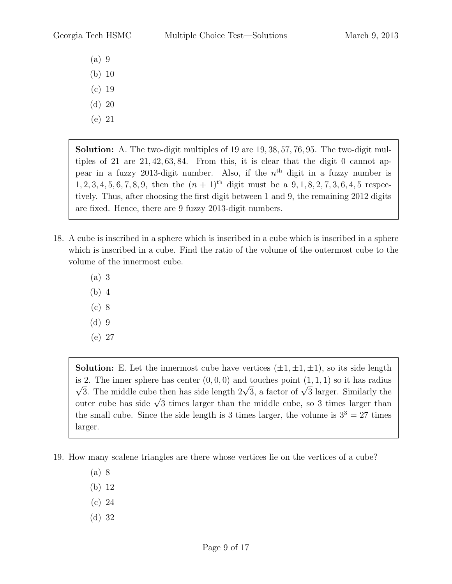- (a) 9
- (b) 10
- (c) 19
- (d) 20
- (e) 21

Solution: A. The two-digit multiples of 19 are 19, 38, 57, 76, 95. The two-digit multiples of 21 are 21, 42, 63, 84. From this, it is clear that the digit 0 cannot appear in a fuzzy 2013-digit number. Also, if the  $n<sup>th</sup>$  digit in a fuzzy number is  $1, 2, 3, 4, 5, 6, 7, 8, 9$ , then the  $(n + 1)$ <sup>th</sup> digit must be a  $9, 1, 8, 2, 7, 3, 6, 4, 5$  respectively. Thus, after choosing the first digit between 1 and 9, the remaining 2012 digits are fixed. Hence, there are 9 fuzzy 2013-digit numbers.

- 18. A cube is inscribed in a sphere which is inscribed in a cube which is inscribed in a sphere which is inscribed in a cube. Find the ratio of the volume of the outermost cube to the volume of the innermost cube.
	- (a) 3
	- (b) 4
	- (c) 8
	- (d) 9
	- (e) 27

**Solution:** E. Let the innermost cube have vertices  $(\pm 1, \pm 1, \pm 1)$ , so its side length is 2. The inner sphere has center  $(0,0,0)$  and touches point  $(1,1,1)$  so it has radius 2. The mildle cube then has side length  $2\sqrt{3}$ , a factor of  $\sqrt{3}$  larger. Similarly the  $\sqrt{3}$ . The middle cube then has side length  $2\sqrt{3}$ , a factor of  $\sqrt{3}$  targer. Similarly the outer cube has side  $\sqrt{3}$  times larger than the middle cube, so 3 times larger than the small cube. Since the side length is 3 times larger, the volume is  $3^3 = 27$  times larger.

19. How many scalene triangles are there whose vertices lie on the vertices of a cube?

- (a) 8
- (b) 12
- (c) 24
- (d) 32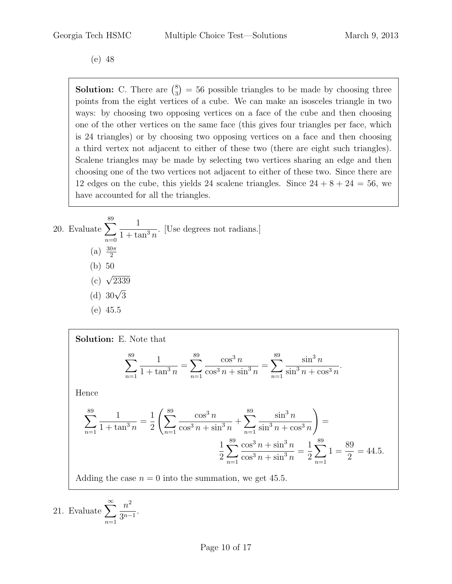(e) 48

**Solution:** C. There are  $\binom{8}{3}$  $_3^8$ ) = 56 possible triangles to be made by choosing three points from the eight vertices of a cube. We can make an isosceles triangle in two ways: by choosing two opposing vertices on a face of the cube and then choosing one of the other vertices on the same face (this gives four triangles per face, which is 24 triangles) or by choosing two opposing vertices on a face and then choosing a third vertex not adjacent to either of these two (there are eight such triangles). Scalene triangles may be made by selecting two vertices sharing an edge and then choosing one of the two vertices not adjacent to either of these two. Since there are 12 edges on the cube, this yields 24 scalene triangles. Since  $24 + 8 + 24 = 56$ , we have accounted for all the triangles.

20. Evaluate 
$$
\sum_{n=0}^{89} \frac{1}{1 + \tan^3 n}
$$
 [Use degrees not radians.]  
\n(a)  $\frac{30\pi}{2}$   
\n(b) 50  
\n(c)  $\sqrt{2339}$   
\n(d)  $30\sqrt{3}$   
\n(e) 45.5

Solution: E. Note that  
\n
$$
\sum_{n=1}^{89} \frac{1}{1 + \tan^3 n} = \sum_{n=1}^{89} \frac{\cos^3 n}{\cos^3 n + \sin^3 n} = \sum_{n=1}^{89} \frac{\sin^3 n}{\sin^3 n + \cos^3 n}.
$$
\nHence  
\n
$$
\sum_{n=1}^{89} \frac{1}{1 + \tan^3 n} = \frac{1}{2} \left( \sum_{n=1}^{89} \frac{\cos^3 n}{\cos^3 n + \sin^3 n} + \sum_{n=1}^{89} \frac{\sin^3 n}{\sin^3 n + \cos^3 n} \right) =
$$
\n
$$
\frac{1}{2} \sum_{n=1}^{89} \frac{\cos^3 n + \sin^3 n}{\cos^3 n + \sin^3 n} = \frac{1}{2} \sum_{n=1}^{89} 1 = \frac{89}{2} = 44.5.
$$

Adding the case  $n = 0$  into the summation, we get 45.5.

21. Evaluate 
$$
\sum_{n=1}^{\infty} \frac{n^2}{3^{n-1}}.
$$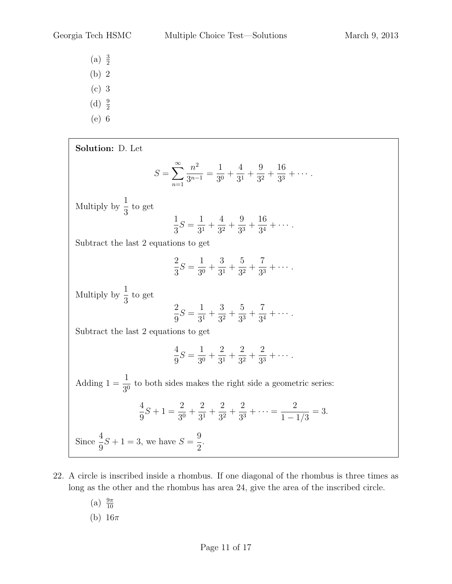- (a)  $\frac{3}{2}$
- (b) 2
- (c) 3
- (d)  $\frac{9}{2}$
- (e) 6

Solution: D. Let  $S=\sum_{n=1}^{\infty}$  $n=1$  $n^2$  $rac{n}{3^{n-1}} =$ 1  $rac{1}{30}$  + 4  $rac{1}{3^1}$  + 9  $rac{6}{3^2}$  + 16  $rac{18}{3^3} + \cdots$ . Multiply by  $\frac{1}{2}$ 3 to get 1 3  $S =$ 1  $rac{1}{3^1}$  + 4  $rac{1}{3^2}$  + 9  $rac{6}{3^3}$  + 16  $\frac{18}{3^4} + \cdots$ . Subtract the last 2 equations to get 2 3  $S =$ 1  $rac{1}{30}$  + 3  $\frac{8}{3^1}$  + 5  $rac{9}{3^2}$  + 7  $\frac{1}{3^3} + \cdots$ . Multiply by  $\frac{1}{2}$ 3 to get 2 9  $S =$ 1  $rac{1}{3^1}$  + 3  $rac{6}{3^2}$  + 5  $rac{9}{3^3}$  + 7  $\frac{1}{3^4} + \cdots$ . Subtract the last 2 equations to get 4 9  $S =$ 1  $rac{1}{30}$  + 2  $rac{2}{3^1}$  + 2  $rac{2}{3^2}$  + 2  $rac{2}{3^3} + \cdots$ . Adding  $1 = \frac{1}{20}$  $\frac{1}{30}$  to both sides makes the right side a geometric series: 4 9  $S + 1 =$ 2  $rac{1}{3^{0}} +$ 2  $\frac{2}{3^1}$  + 2  $rac{1}{3^2}$  + 2  $\frac{2}{3^3} + \cdots = \frac{2}{1 - 1}$  $1 - 1/3$  $= 3.$ Since  $\frac{4}{5}$ 9  $S+1=3$ , we have  $S=$ 9 2 .

- 22. A circle is inscribed inside a rhombus. If one diagonal of the rhombus is three times as long as the other and the rhombus has area 24, give the area of the inscribed circle.
	- (a)  $\frac{9\pi}{10}$ (b)  $16\pi$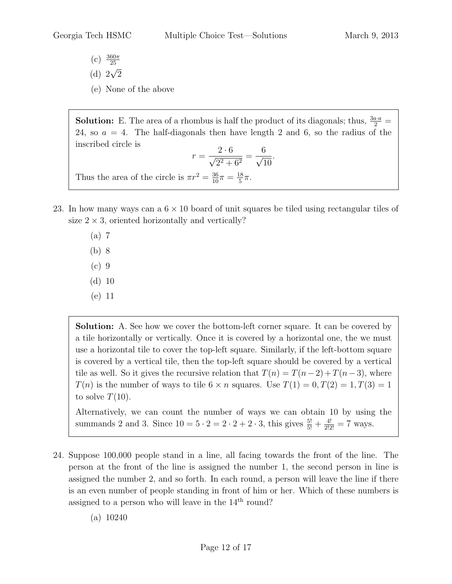- (c)  $\frac{360\pi}{25}$
- (d)  $2\sqrt{2}$
- (e) None of the above

**Solution:** E. The area of a rhombus is half the product of its diagonals; thus,  $\frac{3a \cdot a}{2}$  = 24, so  $a = 4$ . The half-diagonals then have length 2 and 6, so the radius of the inscribed circle is  $2 \epsilon$  $\mathcal{C}_{\mathcal{C}}$ 

$$
r = \frac{2 \cdot 6}{\sqrt{2^2 + 6^2}} = \frac{6}{\sqrt{10}}.
$$

Thus the area of the circle is  $\pi r^2 = \frac{36}{10}\pi = \frac{18}{5}$  $\frac{18}{5}\pi$ .

- 23. In how many ways can a  $6 \times 10$  board of unit squares be tiled using rectangular tiles of size  $2 \times 3$ , oriented horizontally and vertically?
	- (a) 7
	- (b) 8
	- (c) 9
	- (d) 10
	- (e) 11

Solution: A. See how we cover the bottom-left corner square. It can be covered by a tile horizontally or vertically. Once it is covered by a horizontal one, the we must use a horizontal tile to cover the top-left square. Similarly, if the left-bottom square is covered by a vertical tile, then the top-left square should be covered by a vertical tile as well. So it gives the recursive relation that  $T(n) = T(n-2) + T(n-3)$ , where  $T(n)$  is the number of ways to tile  $6 \times n$  squares. Use  $T(1) = 0, T(2) = 1, T(3) = 1$ to solve  $T(10)$ .

Alternatively, we can count the number of ways we can obtain 10 by using the summands 2 and 3. Since  $10 = 5 \cdot 2 = 2 \cdot 2 + 2 \cdot 3$ , this gives  $\frac{5!}{5!} + \frac{4!}{2!2!} = 7$  ways.

24. Suppose 100,000 people stand in a line, all facing towards the front of the line. The person at the front of the line is assigned the number 1, the second person in line is assigned the number 2, and so forth. In each round, a person will leave the line if there is an even number of people standing in front of him or her. Which of these numbers is assigned to a person who will leave in the  $14<sup>th</sup>$  round?

(a) 10240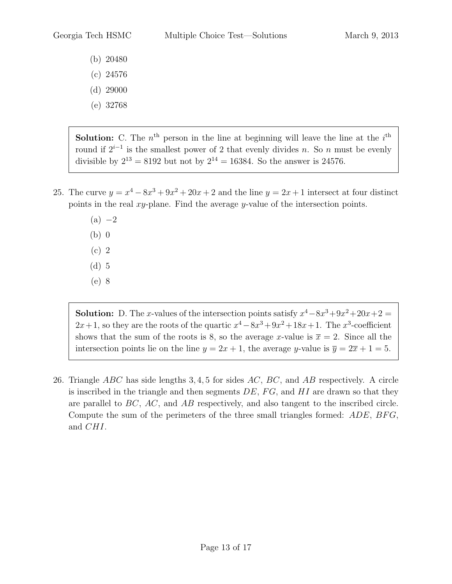- (b) 20480
- (c) 24576
- (d) 29000
- (e) 32768

**Solution:** C. The  $n<sup>th</sup>$  person in the line at beginning will leave the line at the  $i<sup>th</sup>$ round if  $2^{i-1}$  is the smallest power of 2 that evenly divides n. So n must be evenly divisible by  $2^{13} = 8192$  but not by  $2^{14} = 16384$ . So the answer is 24576.

- 25. The curve  $y = x^4 8x^3 + 9x^2 + 20x + 2$  and the line  $y = 2x + 1$  intersect at four distinct points in the real  $x_y$ -plane. Find the average  $y$ -value of the intersection points.
	- $(a) -2$ (b) 0 (c) 2
	- (d) 5
	-
	- (e) 8

**Solution:** D. The x-values of the intersection points satisfy  $x^4 - 8x^3 + 9x^2 + 20x + 2 = 0$  $2x+1$ , so they are the roots of the quartic  $x^4 - 8x^3 + 9x^2 + 18x + 1$ . The  $x^3$ -coefficient shows that the sum of the roots is 8, so the average x-value is  $\bar{x} = 2$ . Since all the intersection points lie on the line  $y = 2x + 1$ , the average y-value is  $\overline{y} = 2\overline{x} + 1 = 5$ .

26. Triangle  $ABC$  has side lengths 3, 4, 5 for sides  $AC$ ,  $BC$ , and  $AB$  respectively. A circle is inscribed in the triangle and then segments  $DE$ ,  $FG$ , and  $HI$  are drawn so that they are parallel to BC, AC, and AB respectively, and also tangent to the inscribed circle. Compute the sum of the perimeters of the three small triangles formed: ADE, BFG, and CHI.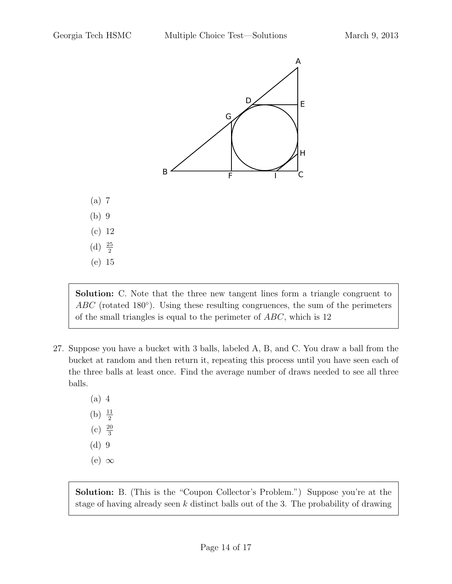

Solution: C. Note that the three new tangent lines form a triangle congruent to  $ABC$  (rotated 180 $^{\circ}$ ). Using these resulting congruences, the sum of the perimeters of the small triangles is equal to the perimeter of ABC, which is 12

- 27. Suppose you have a bucket with 3 balls, labeled A, B, and C. You draw a ball from the bucket at random and then return it, repeating this process until you have seen each of the three balls at least once. Find the average number of draws needed to see all three balls.
	- (a) 4
	- (b)  $\frac{11}{2}$
	- $(c) \frac{20}{3}$
	- (d) 9
	- $(e) \infty$

Solution: B. (This is the "Coupon Collector's Problem.") Suppose you're at the stage of having already seen  $k$  distinct balls out of the 3. The probability of drawing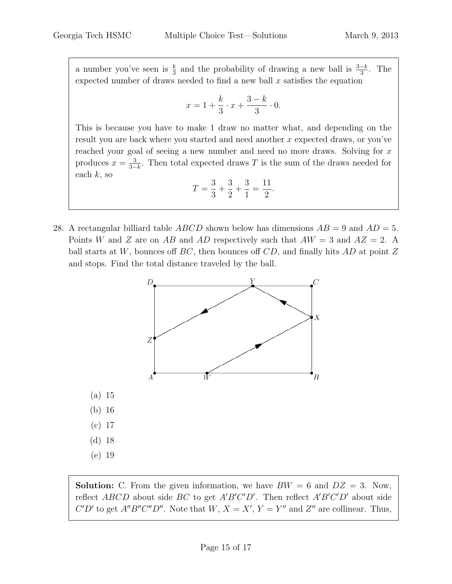a number you've seen is  $\frac{k}{3}$  and the probability of drawing a new ball is  $\frac{3-k}{3}$ . The expected number of draws needed to find a new ball  $x$  satisfies the equation

$$
x = 1 + \frac{k}{3} \cdot x + \frac{3-k}{3} \cdot 0.
$$

This is because you have to make 1 draw no matter what, and depending on the result you are back where you started and need another x expected draws, or you've reached your goal of seeing a new number and need no more draws. Solving for x produces  $x=\frac{3}{3}$  $\frac{3}{3-k}$ . Then total expected draws T is the sum of the draws needed for each  $k$ , so

$$
T = \frac{3}{3} + \frac{3}{2} + \frac{3}{1} = \frac{11}{2}.
$$

28. A rectangular billiard table *ABCD* shown below has dimensions  $AB = 9$  and  $AD = 5$ . Points W and Z are on AB and AD respectively such that  $AW = 3$  and  $AZ = 2$ . A ball starts at W, bounces off BC, then bounces off  $CD$ , and finally hits AD at point Z and stops. Find the total distance traveled by the ball.



**Solution:** C. From the given information, we have  $BW = 6$  and  $DZ = 3$ . Now, reflect  $ABCD$  about side BC to get  $A'B'C'D'$ . Then reflect  $A'B'C'D'$  about side C'D' to get A"B"C"D". Note that  $W, X = X', Y = Y''$  and  $Z''$  are collinear. Thus,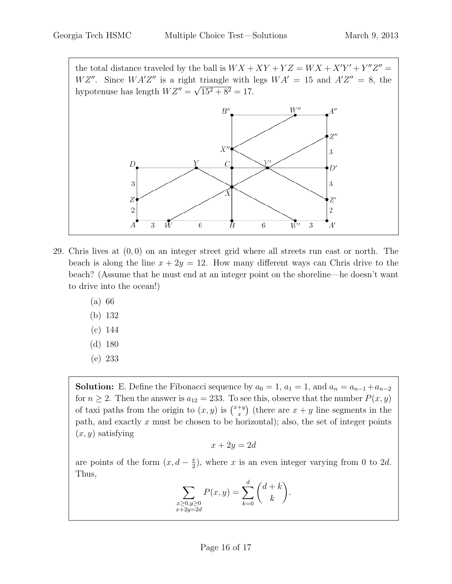the total distance traveled by the ball is  $WX + XY + YZ = WX + X'Y' + Y''Z'' =$  $WZ''$ . Since  $WA'Z''$  is a right triangle with legs  $WA' = 15$  and  $A'Z'' = 8$ , the hypotenuse has length  $WZ'' = \sqrt{15^2 + 8^2} = 17$ .



- 29. Chris lives at  $(0,0)$  on an integer street grid where all streets run east or north. The beach is along the line  $x + 2y = 12$ . How many different ways can Chris drive to the beach? (Assume that he must end at an integer point on the shoreline—he doesn't want to drive into the ocean!)
	- (a) 66
	- (b) 132
	- (c) 144
	- (d) 180
	- (e) 233

**Solution:** E. Define the Fibonacci sequence by  $a_0 = 1$ ,  $a_1 = 1$ , and  $a_n = a_{n-1} + a_{n-2}$ for  $n \geq 2$ . Then the answer is  $a_{12} = 233$ . To see this, observe that the number  $P(x, y)$ of taxi paths from the origin to  $(x, y)$  is  $\binom{x+y}{x}$  $x^{+y}$  (there are  $x + y$  line segments in the path, and exactly  $x$  must be chosen to be horizontal); also, the set of integer points  $(x, y)$  satisfying

$$
x + 2y = 2d
$$

are points of the form  $(x, d - \frac{x}{2})$  $(\frac{x}{2})$ , where x is an even integer varying from 0 to 2d. Thus,

$$
\sum_{\substack{x \ge 0, y \ge 0 \\ x + 2y = 2d}} P(x, y) = \sum_{k=0}^{d} \binom{d+k}{k}.
$$

 $\overline{x}$